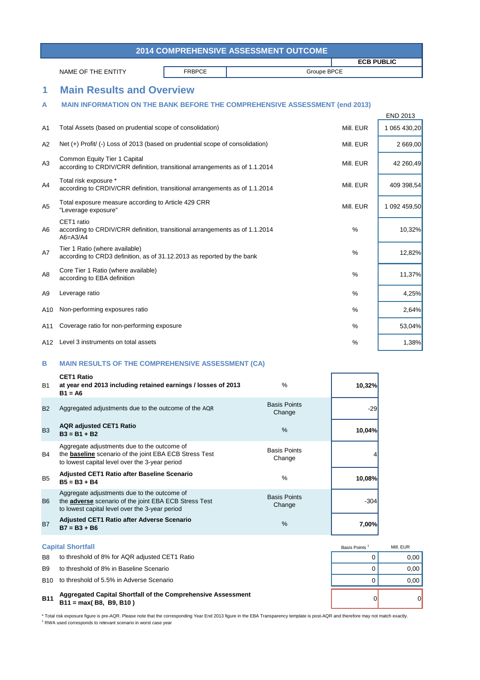| <b>2014 COMPREHENSIVE ASSESSMENT OUTCOME</b> |               |             |                   |  |  |  |
|----------------------------------------------|---------------|-------------|-------------------|--|--|--|
|                                              |               |             | <b>ECB PUBLIC</b> |  |  |  |
| NAME OF THE ENTITY                           | <b>FRBPCE</b> | Groupe BPCE |                   |  |  |  |
|                                              |               |             |                   |  |  |  |

END 2013

## **1 Main Results and Overview**

#### **A MAIN INFORMATION ON THE BANK BEFORE THE COMPREHENSIVE ASSESSMENT (end 2013)**

|                |                                                                                                             |           | ᄂᄓ៴៴៹៴៲៴     |
|----------------|-------------------------------------------------------------------------------------------------------------|-----------|--------------|
| A1             | Total Assets (based on prudential scope of consolidation)                                                   | Mill. EUR | 1 065 430.20 |
| A2             | Net (+) Profit/ (-) Loss of 2013 (based on prudential scope of consolidation)                               | Mill. EUR | 2 669,00     |
| A3             | Common Equity Tier 1 Capital<br>according to CRDIV/CRR definition, transitional arrangements as of 1.1.2014 | Mill. EUR | 42 260,49    |
| A4             | Total risk exposure *<br>according to CRDIV/CRR definition, transitional arrangements as of 1.1.2014        | Mill. EUR | 409 398,54   |
| A <sub>5</sub> | Total exposure measure according to Article 429 CRR<br>"Leverage exposure"                                  | Mill. EUR | 1 092 459,50 |
| A6             | CET1 ratio<br>according to CRDIV/CRR definition, transitional arrangements as of 1.1.2014<br>$A6 = A3/A4$   | $\%$      | 10,32%       |
| A7             | Tier 1 Ratio (where available)<br>according to CRD3 definition, as of 31.12.2013 as reported by the bank    | $\%$      | 12,82%       |
| A <sub>8</sub> | Core Tier 1 Ratio (where available)<br>according to EBA definition                                          | %         | 11,37%       |
| A9             | Leverage ratio                                                                                              | %         | 4,25%        |
| A10            | Non-performing exposures ratio                                                                              | %         | 2,64%        |
| A11            | Coverage ratio for non-performing exposure                                                                  | %         | 53,04%       |
| A12            | Level 3 instruments on total assets                                                                         | %         | 1,38%        |
|                |                                                                                                             |           |              |

## **B MAIN RESULTS OF THE COMPREHENSIVE ASSESSMENT (CA)**

| <b>B1</b>      | <b>CET1 Ratio</b><br>at year end 2013 including retained earnings / losses of 2013<br>$B1 = A6$                                                                | $\frac{0}{0}$                 | 10,32% |
|----------------|----------------------------------------------------------------------------------------------------------------------------------------------------------------|-------------------------------|--------|
| <b>B2</b>      | Aggregated adjustments due to the outcome of the AQR                                                                                                           | <b>Basis Points</b><br>Change | $-29$  |
| <b>B3</b>      | <b>AQR</b> adjusted CET1 Ratio<br>$B3 = B1 + B2$                                                                                                               | $\frac{0}{6}$                 | 10,04% |
| <b>B4</b>      | Aggregate adjustments due to the outcome of<br>the <b>baseline</b> scenario of the joint EBA ECB Stress Test<br>to lowest capital level over the 3-year period | <b>Basis Points</b><br>Change |        |
| <b>B5</b>      | <b>Adjusted CET1 Ratio after Baseline Scenario</b><br>$B5 = B3 + B4$                                                                                           | $\frac{9}{6}$                 | 10,08% |
| B <sub>6</sub> | Aggregate adjustments due to the outcome of<br>the <b>adverse</b> scenario of the joint EBA ECB Stress Test<br>to lowest capital level over the 3-year period  | <b>Basis Points</b><br>Change | $-304$ |
| <b>B7</b>      | <b>Adjusted CET1 Ratio after Adverse Scenario</b><br>$B7 = B3 + B6$                                                                                            | $\frac{9}{6}$                 | 7,00%  |

| <b>B11</b>     | Aggregated Capital Shortfall of the Comprehensive Assessment<br>$B11 = max(B8, B9, B10)$ |              | $\Omega$  |
|----------------|------------------------------------------------------------------------------------------|--------------|-----------|
|                | B <sub>10</sub> to threshold of 5.5% in Adverse Scenario                                 |              | 0.00      |
| <b>B9</b>      | to threshold of 8% in Baseline Scenario                                                  |              | 0.00      |
| B <sub>8</sub> | to threshold of 8% for AQR adjusted CET1 Ratio                                           |              | 0.00      |
|                | <b>Capital Shortfall</b>                                                                 | Basis Points | Mill. EUR |
|                |                                                                                          |              |           |

\* Total risk exposure figure is pre-AQR. Please note that the corresponding Year End 2013 figure in the EBA Transparency template is post-AQR and therefore may not match exactly. <sup>1</sup> RWA used corresponds to relevant scenario in worst case year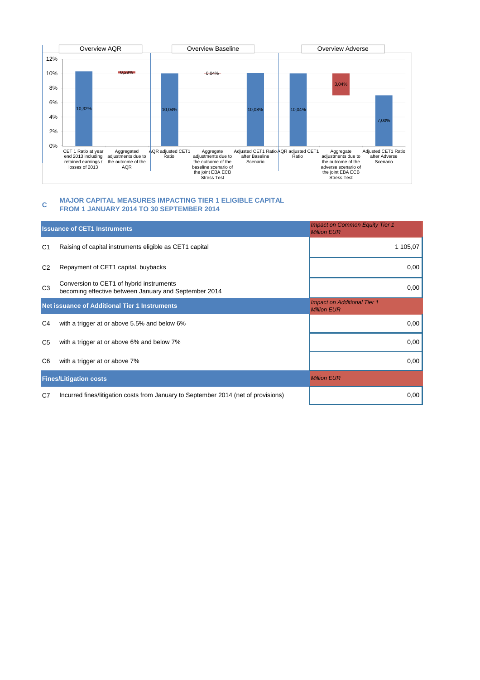

#### **C MAJOR CAPITAL MEASURES IMPACTING TIER 1 ELIGIBLE CAPITAL FROM 1 JANUARY 2014 TO 30 SEPTEMBER 2014**

|                | <b>Issuance of CET1 Instruments</b>                                                               | <b>Impact on Common Equity Tier 1</b><br><b>Million EUR</b> |
|----------------|---------------------------------------------------------------------------------------------------|-------------------------------------------------------------|
| C <sub>1</sub> | Raising of capital instruments eligible as CET1 capital                                           | 1 105,07                                                    |
| C <sub>2</sub> | Repayment of CET1 capital, buybacks                                                               | 0,00                                                        |
| C <sub>3</sub> | Conversion to CET1 of hybrid instruments<br>becoming effective between January and September 2014 | 0,00                                                        |
|                | <b>Net issuance of Additional Tier 1 Instruments</b>                                              | <b>Impact on Additional Tier 1</b><br><b>Million EUR</b>    |
| C4             | with a trigger at or above 5.5% and below 6%                                                      | 0,00                                                        |
| C <sub>5</sub> | with a trigger at or above 6% and below 7%                                                        | 0,00                                                        |
| C6             | with a trigger at or above 7%                                                                     | 0,00                                                        |
|                | <b>Fines/Litigation costs</b>                                                                     | <b>Million EUR</b>                                          |
| C7             | Incurred fines/litigation costs from January to September 2014 (net of provisions)                | 0,00                                                        |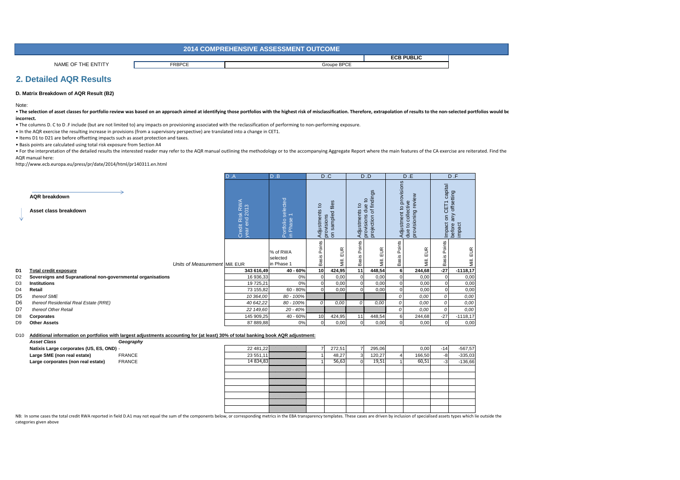|                                      | CTCOME<br>- TAQ EQUAN EXP<br><b>2014 COMPREHENSIVE ASSESSMENT QUEF</b> |             |                   |  |  |
|--------------------------------------|------------------------------------------------------------------------|-------------|-------------------|--|--|
|                                      |                                                                        |             | <b>ECB PUBLIC</b> |  |  |
| <b>NAME</b><br><b>ENTITY</b><br>ח הי | <b>FRBPCE</b>                                                          | Groupe BPCE |                   |  |  |

### **2. Detailed AQR Results**

#### **D. Matrix Breakdown of AQR Result (B2)**

Note:

• The selection of asset classes for portfolio review was based on an approach aimed at identifying those portfolios with the highest risk of misclassification. Therefore, extrapolation of results to the non-selected portf **incorrect.**

• The columns D. C to D .F include (but are not limited to) any impacts on provisioning associated with the reclassification of performing to non-performing exposure.

• In the AQR exercise the resulting increase in provisions (from a supervisory perspective) are translated into a change in CET1.

• Items D1 to D21 are before offsetting impacts such as asset protection and taxes.

• Basis points are calculated using total risk exposure from Section A4

• For the interpretation of the detailed results the interested reader may refer to the AQR manual outlining the methodology or to the accompanying Aggregate Report where the main features of the CA exercise are reiterated AQR manual here:

http://www.ecb.europa.eu/press/pr/date/2014/html/pr140311.en.html

|                |                                                             |                                | D.A                              | D.B                                                      |                                        | D.C                                         |                              | D.D                                                                              |                                            | D.E                                                                             |                                                                                 | D.F           |
|----------------|-------------------------------------------------------------|--------------------------------|----------------------------------|----------------------------------------------------------|----------------------------------------|---------------------------------------------|------------------------------|----------------------------------------------------------------------------------|--------------------------------------------|---------------------------------------------------------------------------------|---------------------------------------------------------------------------------|---------------|
|                | <b>AQR</b> breakdown<br>Asset class breakdown               |                                | Credit Risk RWA<br>year end 2013 | cted<br>lee<br>ō<br>Portfolio<br>in Phase<br>$\subseteq$ | $\overline{\mathbf{c}}$<br>Adjustments | files<br>sampled<br>provisions<br>on sample | 요<br>Adjustments             | ngs<br>of findi<br>$\mathsf{S}$<br>$\mathbf{e}$<br>ಕ<br>provisions<br>projection | provisions<br>$\overline{c}$<br>Adjustment | review<br>$\omega$<br>collectiv<br>Ō<br>provisionin<br>$\mathbf{S}$<br>i<br>due | CET1 capital<br>offsetting<br><b>CET1</b><br>$\mathbf{5}$<br>Impact<br>before a | any<br>impact |
|                |                                                             | Units of Measurement Mill. EUR |                                  | % of RWA<br>selected<br>in Phase 1                       | Basis Points                           | EUR<br>ÑШ.                                  | Points<br>Basis <sup>1</sup> | EUR<br>Μill.                                                                     | oints<br>ه<br>Basi                         | EUR<br>≣.                                                                       | oints<br>≏<br><b>Basis</b>                                                      | EUR<br>Мill.  |
| D1             | <b>Total credit exposure</b>                                |                                | 343 616,49                       | 40 - 60%                                                 | 10                                     | 424,95                                      | 11                           | 448,54                                                                           | 6                                          | 244,68                                                                          | $-27$                                                                           | $-1118,17$    |
| D <sub>2</sub> | Sovereigns and Supranational non-governmental organisations |                                | 16 936,33                        | 0%                                                       |                                        | 0,00                                        | $\mathbf 0$                  | 0,00                                                                             | $\mathbf 0$                                | 0,00                                                                            |                                                                                 | 0,00          |
| D <sub>3</sub> | <b>Institutions</b>                                         |                                | 19 725,21                        | 0%                                                       |                                        | 0,00                                        | $\Omega$                     | 0,00                                                                             | $\mathbf 0$                                | 0,00                                                                            |                                                                                 | 0,00          |
| D <sub>4</sub> | Retail                                                      |                                | 73 155,82                        | 60 - 80%                                                 |                                        | 0,00                                        |                              | 0,00                                                                             | $\mathbf 0$                                | 0,00                                                                            |                                                                                 | 0,00          |
| D <sub>5</sub> | thereof SME                                                 |                                | 10 364,00                        | 80 - 100%                                                |                                        |                                             |                              |                                                                                  | 0                                          | 0,00                                                                            | $\Omega$                                                                        | 0,00          |
| D <sub>6</sub> | thereof Residential Real Estate (RRE)                       |                                | 40 642,22                        | 80 - 100%                                                | 0                                      | 0.00                                        | $\Omega$                     | 0,00                                                                             | 0                                          | 0,00                                                                            |                                                                                 | 0,00          |
| D7             | thereof Other Retail                                        |                                | 22 149,60                        | 20 - 40%                                                 |                                        |                                             |                              |                                                                                  | 0                                          | 0,00                                                                            |                                                                                 | 0,00          |
| D <sub>8</sub> | Corporates                                                  |                                | 145 909,25                       | 40 - 60%                                                 | 10 <sup>1</sup>                        | 424,95                                      | 11                           | 448,54                                                                           | 6                                          | 244,68                                                                          | $-27$                                                                           | $-1118,17$    |
| D9             | <b>Other Assets</b>                                         |                                | 87 889,88                        | 0%                                                       |                                        | 0,00                                        |                              | 0,00                                                                             | $\Omega$                                   | 0,00                                                                            |                                                                                 | 0,00          |

#### D10 **Additional information on portfolios with largest adjustments accounting for (at least) 30% of total banking book AQR adjustment:**

| <b>Asset Class</b><br>Geography              |           |        |        |        |       |           |
|----------------------------------------------|-----------|--------|--------|--------|-------|-----------|
| Natixis Large corporates (US, ES, OND) -     | 22 481,22 | 272,51 | 295,06 | 0,00   | $-14$ | $-567.57$ |
| Large SME (non real estate)<br><b>FRANCE</b> | 23 551,11 | 48,27  | 120,27 | 166,50 |       | $-335,03$ |
| Large corporates (non real estate)<br>FRANCE | 14 834,83 | 56,63  | 19,51  | 60,51  |       | $-136,66$ |
|                                              |           |        |        |        |       |           |
|                                              |           |        |        |        |       |           |
|                                              |           |        |        |        |       |           |
|                                              |           |        |        |        |       |           |
|                                              |           |        |        |        |       |           |
|                                              |           |        |        |        |       |           |
|                                              |           |        |        |        |       |           |

NB: In some cases the total credit RWA reported in field D.A1 may not equal the sum of the components below, or corresponding metrics in the EBA transparency templates. These cases are driven by inclusion of specialised as categories given above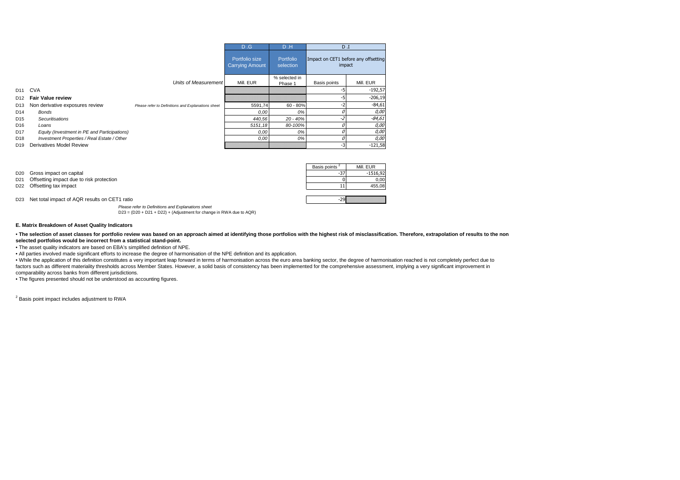|                 |                                              |                                                    | D.G                                      | D.H                    | $D_{\cdot}I$                                   |           |
|-----------------|----------------------------------------------|----------------------------------------------------|------------------------------------------|------------------------|------------------------------------------------|-----------|
|                 |                                              |                                                    | Portfolio size<br><b>Carrying Amount</b> | Portfolio<br>selection | Impact on CET1 before any offsetting<br>impact |           |
|                 |                                              | Units of Measurement                               |                                          | % selected in          |                                                |           |
|                 |                                              |                                                    | Mill, EUR                                | Phase 1                | Basis points                                   | Mill, EUR |
| D <sub>11</sub> | <b>CVA</b>                                   |                                                    |                                          |                        | -5                                             | $-192,57$ |
| D <sub>12</sub> | <b>Fair Value review</b>                     |                                                    |                                          |                        | -5                                             | $-206,19$ |
| D <sub>13</sub> | Non derivative exposures review              | Please refer to Definitions and Explanations sheet | 5591.74                                  | $60 - 80%$             | -2                                             | $-84,61$  |
| D <sub>14</sub> | Bonds                                        |                                                    | 0.00                                     | 0%                     |                                                | 0,00      |
| D <sub>15</sub> | Securitisations                              |                                                    | 440,56                                   | $20 - 40%$             |                                                | $-84,61$  |
| D <sub>16</sub> | Loans                                        |                                                    | 5151,18                                  | 80-100%                |                                                | 0,00      |
| D <sub>17</sub> | Equity (Investment in PE and Participations) |                                                    | 0.00                                     | 0%                     | 0                                              | 0,00      |
| D <sub>18</sub> | Investment Properties / Real Estate / Other  |                                                    | 0.00                                     | 0%                     |                                                | 0,00      |
| D <sub>19</sub> | Derivatives Model Review                     |                                                    |                                          |                        | $-3$                                           | $-121,58$ |

| Basis points <sup>4</sup> | Mill. EUR  |
|---------------------------|------------|
|                           | $-1516,92$ |
|                           | 0.00       |
|                           | 455.08     |
|                           |            |

-29

D23 Net total impact of AQR results on CET1 ratio

D21 Offsetting impact due to risk protection

D20 Gross impact on capital

D22 Offsetting tax impact

 Please refer to Definitions and Explanations sheetD23 = (D20 + D21 + D22) + (Adjustment for change in RWA due to AQR)

#### **E. Matrix Breakdown of Asset Quality Indicators**

. The selection of asset classes for portfolio review was based on an approach aimed at identifying those portfolios with the highest risk of misclassification. Therefore, extrapolation of results to the non**selected portfolios would be incorrect from a statistical stand-point.**

• The asset quality indicators are based on EBA's simplified definition of NPE.

• All parties involved made significant efforts to increase the degree of harmonisation of the NPE definition and its application.

 • While the application of this definition constitutes a very important leap forward in terms of harmonisation across the euro area banking sector, the degree of harmonisation reached is not completely perfect due to factors such as different materiality thresholds across Member States. However, a solid basis of consistency has been implemented for the comprehensive assessment, implying a very significant improvement in

comparability across banks from different jurisdictions.

• The figures presented should not be understood as accounting figures.

<sup>2</sup> Basis point impact includes adjustment to RWA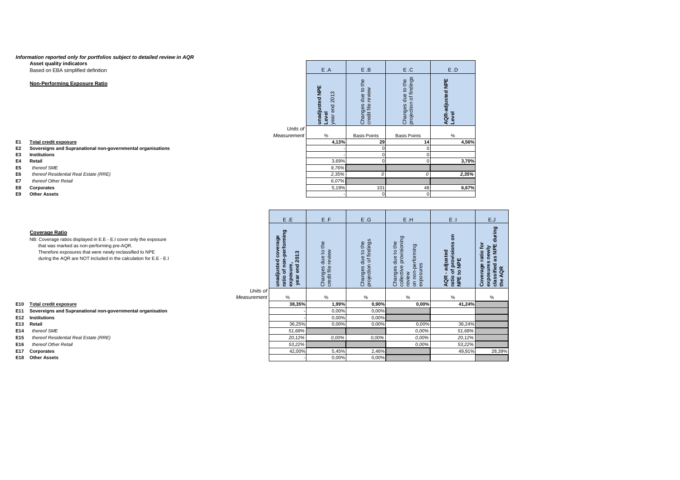#### **Information reported only for portfolios subject to detailed review in AQR**

**Asset quality indicators**

Based on EBA simplified definition

#### **Non-Performing Exposure Ratio**

**E1 Total credit exposure**

#### **E2 Sovereigns and Supranational non-governmental organisations**

- **E3 Institutions**
- **E4 Retail**
- **E5** thereof SME
- **E6** thereof Residential Real Estate (RRE)
- **E7** thereof Other Retail
- **E8 Corporates**
- **E9 Other Assets**

| ⊷   | <b>11131111111111111111111</b>                                                                                                                                                                                                                                           |                         |                                                                                                                                   |                                                        |                                                                           |                                                                                                             |                                                                                                |                                                                                                      |
|-----|--------------------------------------------------------------------------------------------------------------------------------------------------------------------------------------------------------------------------------------------------------------------------|-------------------------|-----------------------------------------------------------------------------------------------------------------------------------|--------------------------------------------------------|---------------------------------------------------------------------------|-------------------------------------------------------------------------------------------------------------|------------------------------------------------------------------------------------------------|------------------------------------------------------------------------------------------------------|
| Ε4  | Retail                                                                                                                                                                                                                                                                   |                         |                                                                                                                                   | 3,69%                                                  |                                                                           |                                                                                                             | 3,70%                                                                                          |                                                                                                      |
| E5  | thereof SME                                                                                                                                                                                                                                                              |                         |                                                                                                                                   | 9,76%                                                  |                                                                           |                                                                                                             |                                                                                                |                                                                                                      |
| E6  | thereof Residential Real Estate (RRE)                                                                                                                                                                                                                                    |                         |                                                                                                                                   | 2,35%                                                  |                                                                           |                                                                                                             | 2,35%                                                                                          |                                                                                                      |
| E7  | thereof Other Retail                                                                                                                                                                                                                                                     |                         |                                                                                                                                   | 6,07%                                                  |                                                                           |                                                                                                             |                                                                                                |                                                                                                      |
| E8  | Corporates                                                                                                                                                                                                                                                               |                         |                                                                                                                                   | 5,19%                                                  | 101                                                                       | 48                                                                                                          | 6,67%                                                                                          |                                                                                                      |
| E9  | <b>Other Assets</b>                                                                                                                                                                                                                                                      |                         |                                                                                                                                   |                                                        |                                                                           |                                                                                                             |                                                                                                |                                                                                                      |
|     |                                                                                                                                                                                                                                                                          |                         |                                                                                                                                   |                                                        |                                                                           |                                                                                                             |                                                                                                |                                                                                                      |
|     |                                                                                                                                                                                                                                                                          |                         |                                                                                                                                   |                                                        |                                                                           |                                                                                                             |                                                                                                |                                                                                                      |
|     |                                                                                                                                                                                                                                                                          |                         | E.E                                                                                                                               | E.F                                                    | E.G                                                                       | E.H                                                                                                         | $E$ .                                                                                          | E.J                                                                                                  |
|     | <b>Coverage Ratio</b><br>NB: Coverage ratios displayed in E.E - E.I cover only the exposure<br>that was marked as non-performing pre-AQR.<br>Therefore exposures that were newly reclassified to NPE<br>during the AQR are NOT included in the calculation for E.E - E.I | Units of<br>Measurement | sted coverage<br>f non-performing<br>$\boldsymbol{\omega}$<br>201<br>unadjusted<br>ratio of non-<br>exposure,<br>end<br>year<br>% | to the<br>review<br>due<br>Changes<br>credit file<br>% | of findings<br>the<br>$\mathbf{Q}$<br>due<br>Changes d<br>projection<br>% | provisioning<br>to the<br>performing<br>due<br>exposures<br>Changes<br>collective<br>on non-<br>review<br>% | ã<br>of provisions o<br>to NPE<br>adjusted<br>ratio of<br>NPE to I<br>$\mathbf{r}$<br>AQR<br>% | during<br>ē<br>as NPE<br>exposures newly<br>classified as NPE<br>the AQR<br>ratio 1<br>Coverage<br>% |
| E10 | <b>Total credit exposure</b>                                                                                                                                                                                                                                             |                         | 38,35%                                                                                                                            | 1,99%                                                  | 0,90%                                                                     | 0,00%                                                                                                       | 41,24%                                                                                         |                                                                                                      |
|     | E11 Sovereigns and Supranational non-governmental organisation                                                                                                                                                                                                           |                         |                                                                                                                                   | 0,00%                                                  | 0,00%                                                                     |                                                                                                             |                                                                                                |                                                                                                      |
|     | E12 Institutions                                                                                                                                                                                                                                                         |                         |                                                                                                                                   | 0,00%                                                  | 0,00%                                                                     |                                                                                                             |                                                                                                |                                                                                                      |
|     | E13 Retail                                                                                                                                                                                                                                                               |                         | 36,25%                                                                                                                            | 0,00%                                                  | 0,00%                                                                     | 0.00%                                                                                                       | 36,24%                                                                                         |                                                                                                      |
| E14 | thereof SME                                                                                                                                                                                                                                                              |                         | 51,68%                                                                                                                            |                                                        |                                                                           | 0.00%                                                                                                       | 51,68%                                                                                         |                                                                                                      |
| E15 | thereof Residential Real Estate (RRE)                                                                                                                                                                                                                                    |                         | 20,12%                                                                                                                            | 0,00%                                                  | 0.00%                                                                     | 0.00%                                                                                                       | 20,12%                                                                                         |                                                                                                      |
| E16 | thereof Other Retail                                                                                                                                                                                                                                                     |                         | 53,22%                                                                                                                            |                                                        |                                                                           | 0.00%                                                                                                       | 53,22%                                                                                         |                                                                                                      |
| E17 | Corporates                                                                                                                                                                                                                                                               |                         | 42,00%                                                                                                                            | 5,45%                                                  | 2,46%                                                                     |                                                                                                             | 49,91%                                                                                         | 28,39%                                                                                               |
|     | E18 Other Assets                                                                                                                                                                                                                                                         |                         |                                                                                                                                   | 0,00%                                                  | 0,00%                                                                     |                                                                                                             |                                                                                                |                                                                                                      |
|     |                                                                                                                                                                                                                                                                          |                         |                                                                                                                                   |                                                        |                                                                           |                                                                                                             |                                                                                                |                                                                                                      |

- **E12 Institutions**
- 
- **E14** thereof SME
- **E15** thereof Residential Real Estate (RRE)
- **E16** thereof Other Retail
- **E17 Corporates**
- **E18 Other Assets**

|                         | E.A                                      | E.B                                      | E.C                                          | E.D                       |
|-------------------------|------------------------------------------|------------------------------------------|----------------------------------------------|---------------------------|
|                         | unadjusted NPE<br>year end 2013<br>Level | Changes due to the<br>credit file review | Changes due to the<br>projection of findings | AQR-adjusted NPE<br>Level |
| Units of<br>Measurement | $\%$                                     | <b>Basis Points</b>                      | <b>Basis Points</b>                          | $\%$                      |
|                         | 4,13%                                    | 29                                       | 14                                           | 4,56%                     |
|                         |                                          | 0                                        | 0                                            |                           |
|                         |                                          | 0                                        | 0                                            |                           |
|                         | 3,69%                                    | 0                                        | 0                                            | 3,70%                     |
|                         | 9,76%<br>2,35%                           | 0                                        | O                                            | 2,35%                     |
|                         | 6,07%                                    |                                          |                                              |                           |
|                         | 5,19%                                    | 101                                      | 48                                           | 6,67%                     |
|                         |                                          | 0                                        | 0                                            |                           |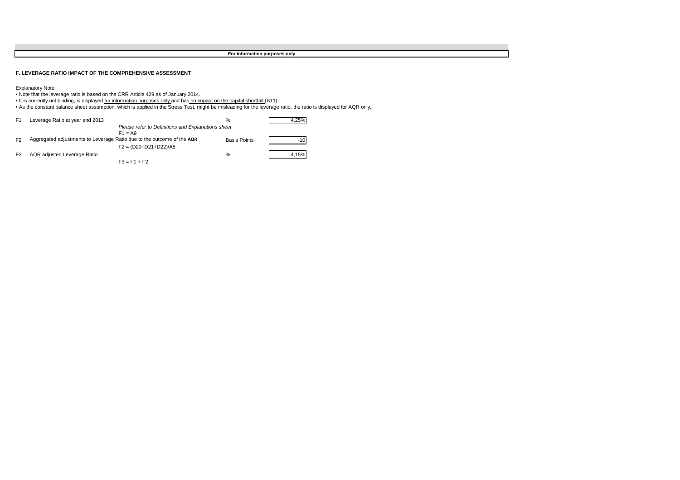**For information purposes only**

**F. LEVERAGE RATIO IMPACT OF THE COMPREHENSIVE ASSESSMENT**

Explanatory Note: • Note that the leverage ratio is based on the CRR Article 429 as of January 2014.

∙ It is currently not binding, is displayed <u>for information purposes only a</u>nd has <u>no impact on the capital shortfall (</u>B11).<br>• As the constant balance sheet assumption, which is applied in the Stress Test, might be mis

| F <sub>1</sub> | Leverage Ratio at year end 2013                                        | %                   | 4.25% |
|----------------|------------------------------------------------------------------------|---------------------|-------|
|                | Please refer to Definitions and Explanations sheet                     |                     |       |
|                | $F1 = A9$                                                              |                     |       |
| F <sub>2</sub> | Aggregated adjustments to Leverage Ratio due to the outcome of the AQR | <b>Basis Points</b> |       |
|                | $F2 = (D20+D21+D22)/A5$                                                |                     |       |
| F3             | AQR adjusted Leverage Ratio                                            | $\%$                | 4.15% |
|                | $F3 = F1 + F2$                                                         |                     |       |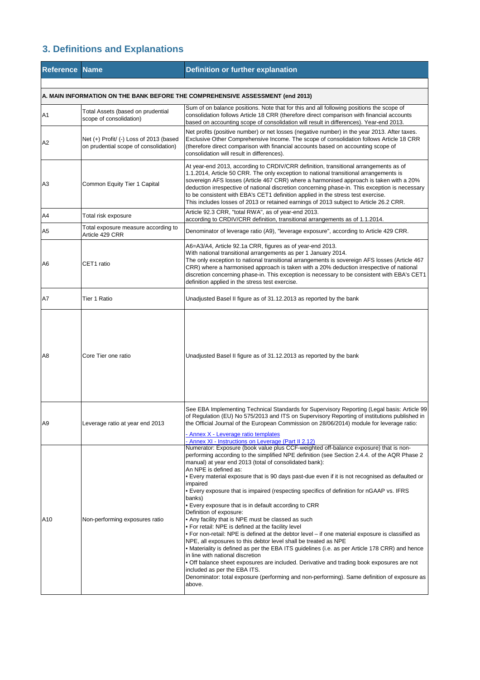## **3. Definitions and Explanations**

| <b>Reference Name</b>                                                          |                                                                                  | <b>Definition or further explanation</b>                                                                                                                                                                                                                                                                                                                                                                                                                                                                                                                                                                                                                                                                                                                                                                                                                                                                                                                                                                                                                                                                                                                                                                                                     |  |
|--------------------------------------------------------------------------------|----------------------------------------------------------------------------------|----------------------------------------------------------------------------------------------------------------------------------------------------------------------------------------------------------------------------------------------------------------------------------------------------------------------------------------------------------------------------------------------------------------------------------------------------------------------------------------------------------------------------------------------------------------------------------------------------------------------------------------------------------------------------------------------------------------------------------------------------------------------------------------------------------------------------------------------------------------------------------------------------------------------------------------------------------------------------------------------------------------------------------------------------------------------------------------------------------------------------------------------------------------------------------------------------------------------------------------------|--|
| A. MAIN INFORMATION ON THE BANK BEFORE THE COMPREHENSIVE ASSESSMENT (end 2013) |                                                                                  |                                                                                                                                                                                                                                                                                                                                                                                                                                                                                                                                                                                                                                                                                                                                                                                                                                                                                                                                                                                                                                                                                                                                                                                                                                              |  |
| A1                                                                             | Total Assets (based on prudential<br>scope of consolidation)                     | Sum of on balance positions. Note that for this and all following positions the scope of<br>consolidation follows Article 18 CRR (therefore direct comparison with financial accounts<br>based on accounting scope of consolidation will result in differences). Year-end 2013.                                                                                                                                                                                                                                                                                                                                                                                                                                                                                                                                                                                                                                                                                                                                                                                                                                                                                                                                                              |  |
| A <sub>2</sub>                                                                 | Net (+) Profit/ (-) Loss of 2013 (based<br>on prudential scope of consolidation) | Net profits (positive number) or net losses (negative number) in the year 2013. After taxes.<br>Exclusive Other Comprehensive Income. The scope of consolidation follows Article 18 CRR<br>(therefore direct comparison with financial accounts based on accounting scope of<br>consolidation will result in differences).                                                                                                                                                                                                                                                                                                                                                                                                                                                                                                                                                                                                                                                                                                                                                                                                                                                                                                                   |  |
| A <sub>3</sub>                                                                 | Common Equity Tier 1 Capital                                                     | At year-end 2013, according to CRDIV/CRR definition, transitional arrangements as of<br>1.1.2014, Article 50 CRR. The only exception to national transitional arrangements is<br>sovereign AFS losses (Article 467 CRR) where a harmonised approach is taken with a 20%<br>deduction irrespective of national discretion concerning phase-in. This exception is necessary<br>to be consistent with EBA's CET1 definition applied in the stress test exercise.<br>This includes losses of 2013 or retained earnings of 2013 subject to Article 26.2 CRR.                                                                                                                                                                                                                                                                                                                                                                                                                                                                                                                                                                                                                                                                                      |  |
| A4                                                                             | Total risk exposure                                                              | Article 92.3 CRR, "total RWA", as of year-end 2013.<br>according to CRDIV/CRR definition, transitional arrangements as of 1.1.2014.                                                                                                                                                                                                                                                                                                                                                                                                                                                                                                                                                                                                                                                                                                                                                                                                                                                                                                                                                                                                                                                                                                          |  |
| A <sub>5</sub>                                                                 | Total exposure measure according to<br>Article 429 CRR                           | Denominator of leverage ratio (A9), "leverage exposure", according to Article 429 CRR.                                                                                                                                                                                                                                                                                                                                                                                                                                                                                                                                                                                                                                                                                                                                                                                                                                                                                                                                                                                                                                                                                                                                                       |  |
| A <sub>6</sub>                                                                 | CET1 ratio                                                                       | A6=A3/A4, Article 92.1a CRR, figures as of year-end 2013.<br>With national transitional arrangements as per 1 January 2014.<br>The only exception to national transitional arrangements is sovereign AFS losses (Article 467<br>CRR) where a harmonised approach is taken with a 20% deduction irrespective of national<br>discretion concerning phase-in. This exception is necessary to be consistent with EBA's CET1<br>definition applied in the stress test exercise.                                                                                                                                                                                                                                                                                                                                                                                                                                                                                                                                                                                                                                                                                                                                                                   |  |
| A7                                                                             | Tier 1 Ratio                                                                     | Unadjusted Basel II figure as of 31.12.2013 as reported by the bank                                                                                                                                                                                                                                                                                                                                                                                                                                                                                                                                                                                                                                                                                                                                                                                                                                                                                                                                                                                                                                                                                                                                                                          |  |
| A <sub>8</sub>                                                                 | Core Tier one ratio                                                              | Unadjusted Basel II figure as of 31.12.2013 as reported by the bank                                                                                                                                                                                                                                                                                                                                                                                                                                                                                                                                                                                                                                                                                                                                                                                                                                                                                                                                                                                                                                                                                                                                                                          |  |
| A <sub>9</sub>                                                                 | Leverage ratio at year end 2013                                                  | See EBA Implementing Technical Standards for Supervisory Reporting (Legal basis: Article 99<br>of Regulation (EU) No 575/2013 and ITS on Supervisory Reporting of institutions published in<br>the Official Journal of the European Commission on 28/06/2014) module for leverage ratio:<br>Annex X - Leverage ratio templates<br>Annex XI - Instructions on Leverage (Part II 2.12)                                                                                                                                                                                                                                                                                                                                                                                                                                                                                                                                                                                                                                                                                                                                                                                                                                                         |  |
| A10                                                                            | Non-performing exposures ratio                                                   | Numerator: Exposure (book value plus CCF-weighted off-balance exposure) that is non-<br>performing according to the simplified NPE definition (see Section 2.4.4. of the AQR Phase 2<br>manual) at year end 2013 (total of consolidated bank):<br>An NPE is defined as:<br>Every material exposure that is 90 days past-due even if it is not recognised as defaulted or<br>impaired<br>• Every exposure that is impaired (respecting specifics of definition for nGAAP vs. IFRS<br>banks)<br>• Every exposure that is in default according to CRR<br>Definition of exposure:<br>• Any facility that is NPE must be classed as such<br>. For retail: NPE is defined at the facility level<br>• For non-retail: NPE is defined at the debtor level – if one material exposure is classified as<br>NPE, all exposures to this debtor level shall be treated as NPE<br>• Materiality is defined as per the EBA ITS guidelines (i.e. as per Article 178 CRR) and hence<br>in line with national discretion<br>• Off balance sheet exposures are included. Derivative and trading book exposures are not<br>included as per the EBA ITS.<br>Denominator: total exposure (performing and non-performing). Same definition of exposure as<br>above. |  |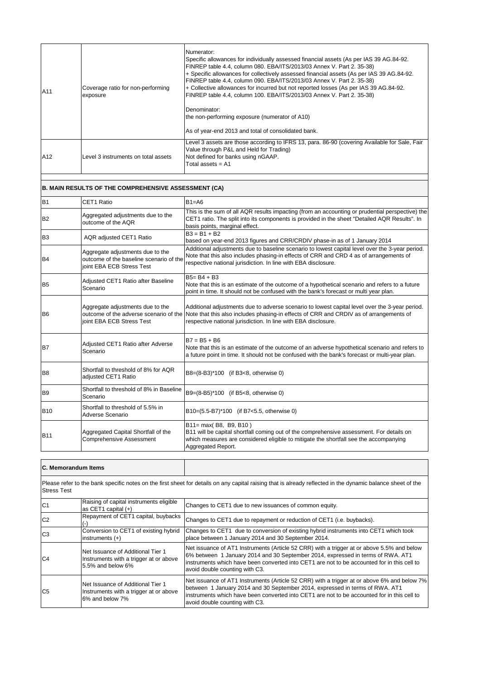| A11             | Coverage ratio for non-performing<br>exposure | Numerator:<br>Specific allowances for individually assessed financial assets (As per IAS 39 AG.84-92.<br>FINREP table 4.4, column 080. EBA/ITS/2013/03 Annex V. Part 2. 35-38)<br>+ Specific allowances for collectively assessed financial assets (As per IAS 39 AG.84-92.<br>FINREP table 4.4, column 090. EBA/ITS/2013/03 Annex V. Part 2. 35-38)<br>+ Collective allowances for incurred but not reported losses (As per IAS 39 AG.84-92.<br>FINREP table 4.4, column 100. EBA/ITS/2013/03 Annex V. Part 2. 35-38)<br>Denominator:<br>the non-performing exposure (numerator of A10)<br>As of year-end 2013 and total of consolidated bank. |
|-----------------|-----------------------------------------------|-------------------------------------------------------------------------------------------------------------------------------------------------------------------------------------------------------------------------------------------------------------------------------------------------------------------------------------------------------------------------------------------------------------------------------------------------------------------------------------------------------------------------------------------------------------------------------------------------------------------------------------------------|
| A <sub>12</sub> | Level 3 instruments on total assets           | Level 3 assets are those according to IFRS 13, para. 86-90 (covering Available for Sale, Fair<br>Value through P&L and Held for Trading)<br>Not defined for banks using nGAAP.<br>Total assets $= A1$                                                                                                                                                                                                                                                                                                                                                                                                                                           |

#### B1 CET1 Ratio B1=A6 B<sub>2</sub> Aggregated adjustments due to the outcome of the AQR This is the sum of all AQR results impacting (from an accounting or prudential perspective) the CET1 ratio. The split into its components is provided in the sheet "Detailed AQR Results". In basis points, marginal effect.  $\begin{array}{|c|c|c|c|}\n\hline\n\text{B3} & \text{BA} & \text{AQR adjusted CET1 Ratio} \\
\hline\n\end{array}$ based on year-end 2013 figures and CRR/CRDIV phase-in as of 1 January 2014 R<sub>4</sub> Aggregate adjustments due to the outcome of the baseline scenario of the joint EBA ECB Stress Test Additional adjustments due to baseline scenario to lowest capital level over the 3-year period. Note that this also includes phasing-in effects of CRR and CRD 4 as of arrangements of respective national jurisdiction. In line with EBA disclosure. R5 **Adjusted CET1 Ratio after Baseline** Scenario  $B5 = B4 + B3$ Note that this is an estimate of the outcome of a hypothetical scenario and refers to a future point in time. It should not be confused with the bank's forecast or multi year plan. B6 Aggregate adjustments due to the outcome of the adverse scenario of the joint EBA ECB Stress Test Additional adjustments due to adverse scenario to lowest capital level over the 3-year period. Note that this also includes phasing-in effects of CRR and CRDIV as of arrangements of respective national jurisdiction. In line with EBA disclosure. **B7** Adjusted CET1 Ratio after Adverse Scenario  $B7 = B5 + B6$ Note that this is an estimate of the outcome of an adverse hypothetical scenario and refers to a future point in time. It should not be confused with the bank's forecast or multi-year plan. B8 Shortfall to threshold of 8% for AQR<br>adiusted CET1 Ratio B8=(8-B3)\*100 (if B3<8, otherwise 0) B9 Shortfall to threshold of 8% in Baseline<br>
Scenario B9=(8-B5)\*100 (if B5<8, otherwise 0) B10 Shortfall to threshold of 5.5% in<br>Adverse Scenario B10=(5.5-B7)\*100 (if B7<5.5, otherwise 0) B11 Aggregated Capital Shortfall of the Comprehensive Assessment B11= max( B8, B9, B10 ) B11 will be capital shortfall coming out of the comprehensive assessment. For details on which measures are considered eligible to mitigate the shortfall see the accompanying Aggregated Report. **B. MAIN RESULTS OF THE COMPREHENSIVE ASSESSMENT (CA)**

| <b>Stress Test</b> |                                                                                                  | Please refer to the bank specific notes on the first sheet for details on any capital raising that is already reflected in the dynamic balance sheet of the                                                                                                                                                     |
|--------------------|--------------------------------------------------------------------------------------------------|-----------------------------------------------------------------------------------------------------------------------------------------------------------------------------------------------------------------------------------------------------------------------------------------------------------------|
| C <sub>1</sub>     | Raising of capital instruments eligible<br>as CET1 capital $(+)$                                 | Changes to CET1 due to new issuances of common equity.                                                                                                                                                                                                                                                          |
| C <sub>2</sub>     | Repayment of CET1 capital, buybacks                                                              | Changes to CET1 due to repayment or reduction of CET1 (i.e. buybacks).                                                                                                                                                                                                                                          |
| C <sub>3</sub>     | Conversion to CET1 of existing hybrid<br>instruments $(+)$                                       | Changes to CET1 due to conversion of existing hybrid instruments into CET1 which took<br>place between 1 January 2014 and 30 September 2014.                                                                                                                                                                    |
| C <sub>4</sub>     | Net Issuance of Additional Tier 1<br>Instruments with a trigger at or above<br>5.5% and below 6% | Net issuance of AT1 Instruments (Article 52 CRR) with a trigger at or above 5.5% and below<br>6% between 1 January 2014 and 30 September 2014, expressed in terms of RWA. AT1<br>linstruments which have been converted into CET1 are not to be accounted for in this cell to<br>avoid double counting with C3. |
| C <sub>5</sub>     | Net Issuance of Additional Tier 1<br>Instruments with a trigger at or above<br>6% and below 7%   | Net issuance of AT1 Instruments (Article 52 CRR) with a trigger at or above 6% and below 7%<br>between 1 January 2014 and 30 September 2014, expressed in terms of RWA. AT1<br>linstruments which have been converted into CET1 are not to be accounted for in this cell to<br>avoid double counting with C3.   |

**C. Memorandum Items**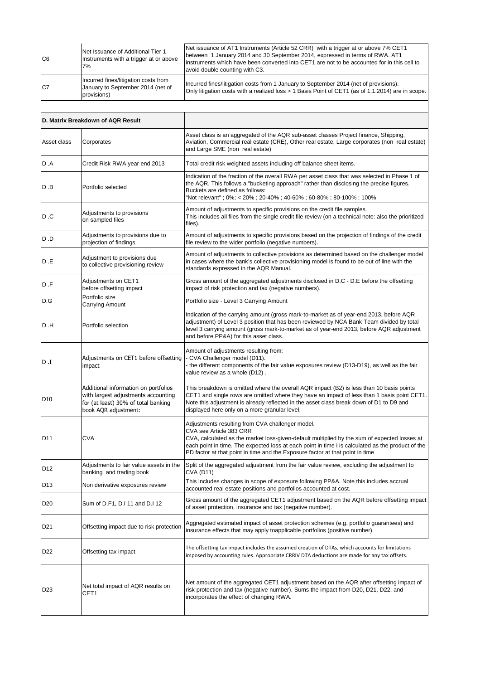| C <sub>6</sub>  | Net Issuance of Additional Tier 1<br>Instruments with a trigger at or above<br>7%                                                          | Net issuance of AT1 Instruments (Article 52 CRR) with a trigger at or above 7% CET1<br>between 1 January 2014 and 30 September 2014, expressed in terms of RWA. AT1<br>instruments which have been converted into CET1 are not to be accounted for in this cell to<br>avoid double counting with C3.                                                              |
|-----------------|--------------------------------------------------------------------------------------------------------------------------------------------|-------------------------------------------------------------------------------------------------------------------------------------------------------------------------------------------------------------------------------------------------------------------------------------------------------------------------------------------------------------------|
| C7              | Incurred fines/litigation costs from<br>January to September 2014 (net of<br>provisions)                                                   | Incurred fines/litigation costs from 1 January to September 2014 (net of provisions).<br>Only litigation costs with a realized loss > 1 Basis Point of CET1 (as of 1.1.2014) are in scope.                                                                                                                                                                        |
|                 |                                                                                                                                            |                                                                                                                                                                                                                                                                                                                                                                   |
|                 | D. Matrix Breakdown of AQR Result                                                                                                          |                                                                                                                                                                                                                                                                                                                                                                   |
| Asset class     | Corporates                                                                                                                                 | Asset class is an aggregated of the AQR sub-asset classes Project finance, Shipping,<br>Aviation, Commercial real estate (CRE), Other real estate, Large corporates (non real estate)<br>and Large SME (non real estate)                                                                                                                                          |
| D .A            | Credit Risk RWA year end 2013                                                                                                              | Total credit risk weighted assets including off balance sheet items.                                                                                                                                                                                                                                                                                              |
| D.B             | Portfolio selected                                                                                                                         | Indication of the fraction of the overall RWA per asset class that was selected in Phase 1 of<br>the AQR. This follows a "bucketing approach" rather than disclosing the precise figures.<br>Buckets are defined as follows:<br>"Not relevant" ; 0%; < 20% ; 20-40% ; 40-60% ; 60-80% ; 80-100% ; 100%                                                            |
| D.C             | Adjustments to provisions<br>on sampled files                                                                                              | Amount of adjustments to specific provisions on the credit file samples.<br>This includes all files from the single credit file review (on a technical note: also the prioritized<br>files).                                                                                                                                                                      |
| D.D             | Adjustments to provisions due to<br>projection of findings                                                                                 | Amount of adjustments to specific provisions based on the projection of findings of the credit<br>file review to the wider portfolio (negative numbers).                                                                                                                                                                                                          |
| D E             | Adjustment to provisions due<br>to collective provisioning review                                                                          | Amount of adjustments to collective provisions as determined based on the challenger model<br>in cases where the bank's collective provisioning model is found to be out of line with the<br>standards expressed in the AQR Manual.                                                                                                                               |
| D.F             | Adjustments on CET1<br>before offsetting impact                                                                                            | Gross amount of the aggregated adjustments disclosed in D.C - D.E before the offsetting<br>impact of risk protection and tax (negative numbers).                                                                                                                                                                                                                  |
| D.G             | Portfolio size<br>Carrying Amount                                                                                                          | Portfolio size - Level 3 Carrying Amount                                                                                                                                                                                                                                                                                                                          |
| D .H            | Portfolio selection                                                                                                                        | Indication of the carrying amount (gross mark-to-market as of year-end 2013, before AQR<br>adjustment) of Level 3 position that has been reviewed by NCA Bank Team divided by total<br>level 3 carrying amount (gross mark-to-market as of year-end 2013, before AQR adjustment<br>and before PP&A) for this asset class.                                         |
| L. Q            | Adjustments on CET1 before offsetting<br>impact                                                                                            | Amount of adjustments resulting from:<br>CVA Challenger model (D11).<br>- the different components of the fair value exposures review (D13-D19), as well as the fair<br>value review as a whole (D12).                                                                                                                                                            |
| D10             | Additional information on portfolios<br>with largest adjustments accounting<br>for (at least) 30% of total banking<br>book AQR adjustment: | This breakdown is omitted where the overall AQR impact (B2) is less than 10 basis points<br>CET1 and single rows are omitted where they have an impact of less than 1 basis point CET1.<br>Note this adjustment is already reflected in the asset class break down of D1 to D9 and<br>displayed here only on a more granular level.                               |
| D <sub>11</sub> | <b>CVA</b>                                                                                                                                 | Adjustments resulting from CVA challenger model.<br>CVA see Article 383 CRR<br>CVA, calculated as the market loss-given-default multiplied by the sum of expected losses at<br>each point in time. The expected loss at each point in time i is calculated as the product of the<br>PD factor at that point in time and the Exposure factor at that point in time |
| D <sub>12</sub> | Adjustments to fair value assets in the<br>banking and trading book                                                                        | Split of the aggregated adjustment from the fair value review, excluding the adjustment to<br><b>CVA (D11)</b>                                                                                                                                                                                                                                                    |
| D <sub>13</sub> | Non derivative exposures review                                                                                                            | This includes changes in scope of exposure following PP&A. Note this includes accrual<br>accounted real estate positions and portfolios accounted at cost.                                                                                                                                                                                                        |
| D <sub>20</sub> | Sum of D.F1, D.I 11 and D.I 12                                                                                                             | Gross amount of the aggregated CET1 adjustment based on the AQR before offsetting impact<br>of asset protection, insurance and tax (negative number).                                                                                                                                                                                                             |
| D <sub>21</sub> | Offsetting impact due to risk protection                                                                                                   | Aggregated estimated impact of asset protection schemes (e.g. portfolio guarantees) and<br>insurance effects that may apply toapplicable portfolios (positive number).                                                                                                                                                                                            |
| D <sub>22</sub> | Offsetting tax impact                                                                                                                      | The offsetting tax impact includes the assumed creation of DTAs, which accounts for limitations<br>imposed by accounting rules. Appropriate CRRIV DTA deductions are made for any tax offsets.                                                                                                                                                                    |
| D <sub>23</sub> | Net total impact of AQR results on<br>CET1                                                                                                 | Net amount of the aggregated CET1 adjustment based on the AQR after offsetting impact of<br>risk protection and tax (negative number). Sums the impact from D20, D21, D22, and<br>incorporates the effect of changing RWA.                                                                                                                                        |